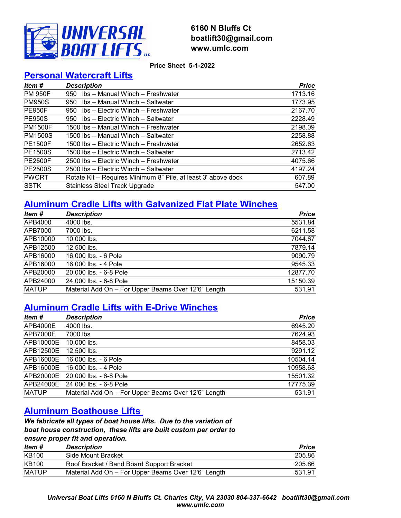

### 6160 N Bluffs Ct boatlift30@gmail.com www.umlc.com

Price Sheet 5-1-2022

### Personal Watercraft Lifts

| Item #         | <b>Description</b>                                            | <b>Price</b> |
|----------------|---------------------------------------------------------------|--------------|
| <b>PM 950F</b> | Ibs - Manual Winch - Freshwater<br>950                        | 1713.16      |
| <b>PM950S</b>  | Ibs - Manual Winch - Saltwater<br>950                         | 1773.95      |
| <b>PE950F</b>  | Ibs - Electric Winch - Freshwater<br>950                      | 2167.70      |
| <b>PE950S</b>  | Ibs - Electric Winch - Saltwater<br>950                       | 2228.49      |
| <b>PM1500F</b> | 1500 lbs - Manual Winch - Freshwater                          | 2198.09      |
| <b>PM1500S</b> | 1500 lbs - Manual Winch - Saltwater                           | 2258.88      |
| <b>PE1500F</b> | 1500 lbs – Electric Winch – Freshwater                        | 2652.63      |
| <b>PE1500S</b> | 1500 lbs – Electric Winch – Saltwater                         | 2713.42      |
| <b>PE2500F</b> | 2500 lbs - Electric Winch - Freshwater                        | 4075.66      |
| <b>PE2500S</b> | 2500 lbs - Electric Winch - Saltwater                         | 4197.24      |
| <b>PWCRT</b>   | Rotate Kit - Requires Minimum 8" Pile, at least 3' above dock | 607.89       |
| <b>SSTK</b>    | <b>Stainless Steel Track Upgrade</b>                          | 547.00       |

## Aluminum Cradle Lifts with Galvanized Flat Plate Winches

| Item #       | <b>Description</b>                                  | <b>Price</b> |
|--------------|-----------------------------------------------------|--------------|
| APB4000      | 4000 lbs.                                           | 5531.84      |
| APB7000      | 7000 lbs.                                           | 6211.58      |
| APB10000     | 10,000 lbs.                                         | 7044.67      |
| APB12500     | 12,500 lbs.                                         | 7879.14      |
| APB16000     | 16,000 lbs. - 6 Pole                                | 9090.79      |
| APB16000     | 16,000 lbs. - 4 Pole                                | 9545.33      |
| APB20000     | 20,000 lbs. - 6-8 Pole                              | 12877.70     |
| APB24000     | 24,000 lbs. - 6-8 Pole                              | 15150.39     |
| <b>MATUP</b> | Material Add On - For Upper Beams Over 12'6" Length | 531.91       |

### Aluminum Cradle Lifts with E-Drive Winches

| Item #       | <b>Description</b>                                  | <b>Price</b> |
|--------------|-----------------------------------------------------|--------------|
| APB4000E     | 4000 lbs.                                           | 6945.20      |
| APB7000E     | 7000 lbs                                            | 7624.93      |
| APB10000E    | 10,000 lbs.                                         | 8458.03      |
| APB12500E    | 12,500 lbs.                                         | 9291.12      |
| APB16000E    | 16,000 lbs. - 6 Pole                                | 10504.14     |
| APB16000E    | 16,000 lbs. - 4 Pole                                | 10958.68     |
| APB20000E    | 20,000 lbs. - 6-8 Pole                              | 15501.32     |
| APB24000E    | 24,000 lbs. - 6-8 Pole                              | 17775.39     |
| <b>MATUP</b> | Material Add On - For Upper Beams Over 12'6" Length | 531.91       |

### Aluminum Boathouse Lifts

We fabricate all types of boat house lifts. Due to the variation of boat house construction, these lifts are built custom per order to ensure proper fit and operation.

| ltem #       | <b>Description</b>                                  | <b>Price</b> |
|--------------|-----------------------------------------------------|--------------|
| KB100        | Side Mount Bracket                                  | 205.86       |
| <b>KB100</b> | Roof Bracket / Band Board Support Bracket           | 205.86       |
| <b>MATUP</b> | Material Add On – For Upper Beams Over 12'6" Length | 531.91       |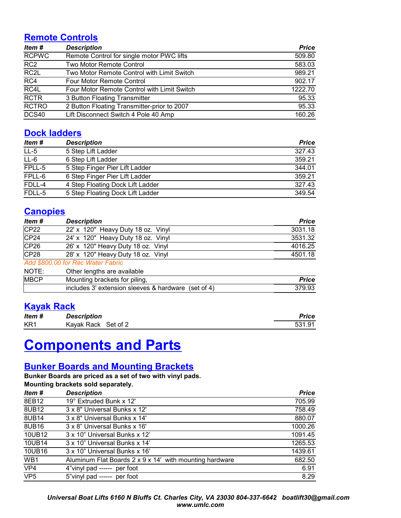### Remote Controls

| Item #            | <b>Description</b>                          | <b>Price</b> |
|-------------------|---------------------------------------------|--------------|
| <b>RCPWC</b>      | Remote Control for single motor PWC lifts   | 509.80       |
| RC <sub>2</sub>   | Two Motor Remote Control                    | 583.03       |
| RC <sub>2</sub> L | Two Motor Remote Control with Limit Switch  | 989.21       |
| RC4               | Four Motor Remote Control                   | 902.17       |
| RC4L              | Four Motor Remote Control with Limit Switch | 1222.70      |
| <b>RCTR</b>       | 3 Button Floating Transmitter               | 95.33        |
| <b>RCTRO</b>      | 2 Button Floating Transmitter-prior to 2007 | 95.33        |
| DCS40             | Lift Disconnect Switch 4 Pole 40 Amp        | 160.26       |

### Dock ladders

| Item # | <b>Description</b>               | <b>Price</b> |
|--------|----------------------------------|--------------|
| $LL-5$ | 5 Step Lift Ladder               | 327.43       |
| $L-6$  | 6 Step Lift Ladder               | 359.21       |
| FPLL-5 | 5 Step Finger Pier Lift Ladder   | 344.01       |
| FPLL-6 | 6 Step Finger Pier Lift Ladder   | 359.21       |
| FDLL-4 | 4 Step Floating Dock Lift Ladder | 327.43       |
| FDLL-5 | 5 Step Floating Dock Lift Ladder | 349.54       |

### **Canopies**

| Item #      | <b>Description</b>                                  | <b>Price</b> |
|-------------|-----------------------------------------------------|--------------|
| CP22        | 22' x 120" Heavy Duty 18 oz. Vinyl                  | 3031.18      |
| CP24        | 24' x 120" Heavy Duty 18 oz. Vinyl                  | 3531.32      |
| CP26        | 26' x 120" Heavy Duty 18 oz. Vinyl                  | 4016.25      |
| CP28        | 28' x 120" Heavy Duty 18 oz. Vinyl                  | 4501.18      |
|             | Add \$800.00 for Rec Water Fabric                   |              |
| NOTE:       | Other lengths are available                         |              |
| <b>MBCP</b> | Mounting brackets for piling,                       | <b>Price</b> |
|             | includes 3' extension sleeves & hardware (set of 4) | 379.93       |

### Kayak Rack

| Item #          | <b>Description</b>  | Price  |
|-----------------|---------------------|--------|
| KR <sub>1</sub> | Kayak Rack Set of 2 | 531.91 |

# Components and Parts

### Bunker Boards and Mounting Brackets

Bunker Boards are priced as a set of two with vinyl pads. Mounting brackets sold separately.

| modificing practices sold separately. |                                                         |              |
|---------------------------------------|---------------------------------------------------------|--------------|
| Item #                                | <b>Description</b>                                      | <b>Price</b> |
| 8EB12                                 | 19° Extruded Bunk x 12'                                 | 705.99       |
| 8UB12                                 | 3 x 8" Universal Bunks x 12"                            | 758.49       |
| 8UB14                                 | 3 x 8" Universal Bunks x 14"                            | 880.07       |
| 8UB16                                 | 3 x 8" Universal Bunks x 16"                            | 1000.26      |
| 10UB12                                | 3 x 10" Universal Bunks x 12"                           | 1091.45      |
| 10UB14                                | 3 x 10" Universal Bunks x 14"                           | 1265.53      |
| 10UB16                                | 3 x 10" Universal Bunks x 16"                           | 1439.61      |
| WB1                                   | Aluminum Flat Boards 2 x 9 x 14' with mounting hardware | 682.50       |
| VP4                                   | 4"vinyl pad ------ per foot                             | 6.91         |
| VP <sub>5</sub>                       | 5"vinyl pad ------ per foot                             | 8.29         |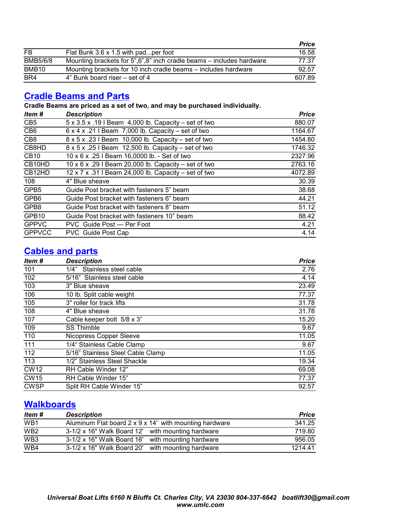|                   |                                                                      | <b>Price</b> |
|-------------------|----------------------------------------------------------------------|--------------|
| <b>FB</b>         | Flat Bunk 3.6 x 1.5 with padper foot                                 | 16.58        |
| <b>BMB5/6/8</b>   | Mounting brackets for 5",6",8" inch cradle beams – includes hardware | 77.37        |
| BMB <sub>10</sub> | Mounting brackets for 10 inch cradle beams – includes hardware       | 92.57        |
| BR4               | 4" Bunk board riser – set of 4                                       | 607.89       |

### Cradle Beams and Parts

Cradle Beams are priced as a set of two, and may be purchased individually.

| Item #            | <b>Description</b>                                             | <b>Price</b> |
|-------------------|----------------------------------------------------------------|--------------|
| CB <sub>5</sub>   | 5 x 3.5 x .19 I Beam 4,000 lb. Capacity – set of two           | 880.07       |
| CB <sub>6</sub>   | $6 \times 4 \times .21$ I Beam 7,000 lb. Capacity – set of two | 1164.67      |
| CB <sub>8</sub>   | 8 x 5 x .23 I Beam 10,000 lb. Capacity - set of two            | 1454.80      |
| CB8HD             | 8 x 5 x .25 I Beam 12,500 lb. Capacity – set of two            | 1746.32      |
| CB10              | 10 x 6 x .25 I Beam 16,0000 lb. - Set of two                   | 2327.96      |
| CB10HD            | 10 x 6 x .29 I Beam 20,000 lb. Capacity – set of two           | 2763.16      |
| CB12HD            | 12 x 7 x .31 I Beam 24,000 lb. Capacity - set of two           | 4072.89      |
| 108               | 4" Blue sheave                                                 | 30.39        |
| GPB5              | Guide Post bracket with fasteners 5" beam                      | 38.68        |
| GPB6              | Guide Post bracket with fasteners 6" beam                      | 44.21        |
| GPB8              | Guide Post bracket with fasteners 8" beam                      | 51.12        |
| GPB <sub>10</sub> | Guide Post bracket with fasteners 10" beam                     | 88.42        |
| <b>GPPVC</b>      | PVC Guide Post --- Per Foot                                    | 4.21         |
| <b>GPPVCC</b>     | PVC Guide Post Cap                                             | 4.14         |

### Cables and parts

| Item #      | <b>Description</b>                | <b>Price</b> |
|-------------|-----------------------------------|--------------|
| 101         | Stainless steel cable<br>1/4"     | 2.76         |
| 102         | 5/16" Stainless steel cable       | 4.14         |
| 103         | 3" Blue sheave                    | 23.49        |
| 106         | 10 lb. Split cable weight         | 77.37        |
| 105         | 3" roller for track lifts         | 31.78        |
| 108         | 4" Blue sheave                    | 31.78        |
| 107         | Cable keeper bolt 5/8 x 3"        | 15.20        |
| 109         | <b>SS Thimble</b>                 | 9.67         |
| 110         | Nicopress Copper Sleeve           | 11.05        |
| 111         | 1/4" Stainless Cable Clamp        | 9.67         |
| 112         | 5/16" Stainless Steel Cable Clamp | 11.05        |
| 113         | 1/2" Stainless Steel Shackle      | 19.34        |
| <b>CW12</b> | RH Cable Winder 12"               | 69.08        |
| <b>CW15</b> | RH Cable Winder 15"               | 77.37        |
| <b>CWSP</b> | Split RH Cable Winder 15"         | 92.57        |

### **Walkboards**

| Item #          | <b>Description</b>                                     | <b>Price</b> |
|-----------------|--------------------------------------------------------|--------------|
| WB <sub>1</sub> | Aluminum Flat board 2 x 9 x 14' with mounting hardware | 341.25       |
| WB <sub>2</sub> | 3-1/2 x 16" Walk Board 12' with mounting hardware      | 719.80       |
| WB <sub>3</sub> | 3-1/2 x 16" Walk Board 16' with mounting hardware      | 956.05       |
| WB4             | 3-1/2 x 16" Walk Board 20' with mounting hardware      | 1214.41      |